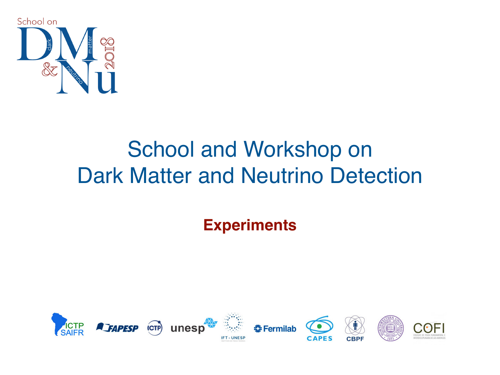

# School and Workshop on Dark Matter and Neutrino Detection

**Experiments**

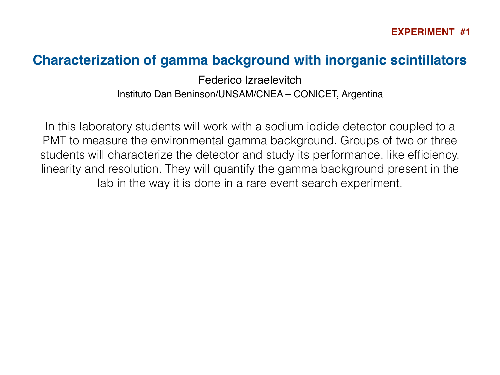#### **Characterization of gamma background with inorganic scintillators**

Federico Izraelevitch Instituto Dan Beninson/UNSAM/CNEA – CONICET, Argentina

In this laboratory students will work with a sodium iodide detector coupled to a PMT to measure the environmental gamma background. Groups of two or three students will characterize the detector and study its performance, like efficiency, linearity and resolution. They will quantify the gamma background present in the lab in the way it is done in a rare event search experiment.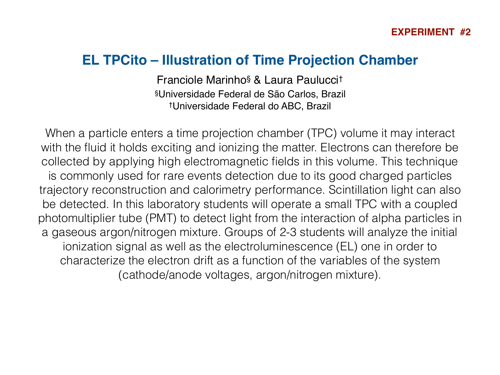### **EL TPCito – Illustration of Time Projection Chamber**

Franciole Marinho§ & Laura Paulucci† §Universidade Federal de São Carlos, Brazil †Universidade Federal do ABC, Brazil

When a particle enters a time projection chamber (TPC) volume it may interact with the fluid it holds exciting and ionizing the matter. Electrons can therefore be collected by applying high electromagnetic fields in this volume. This technique is commonly used for rare events detection due to its good charged particles trajectory reconstruction and calorimetry performance. Scintillation light can also be detected. In this laboratory students will operate a small TPC with a coupled photomultiplier tube (PMT) to detect light from the interaction of alpha particles in a gaseous argon/nitrogen mixture. Groups of 2-3 students will analyze the initial ionization signal as well as the electroluminescence (EL) one in order to characterize the electron drift as a function of the variables of the system (cathode/anode voltages, argon/nitrogen mixture).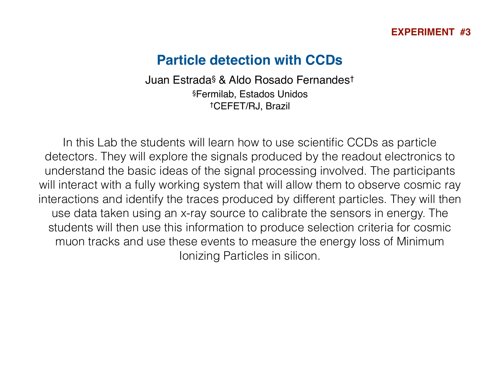#### **EXPERIMENT #3**

#### **Particle detection with CCDs**

Juan Estrada§ & Aldo Rosado Fernandes† §Fermilab, Estados Unidos †CEFET/RJ, Brazil

In this Lab the students will learn how to use scientific CCDs as particle detectors. They will explore the signals produced by the readout electronics to understand the basic ideas of the signal processing involved. The participants will interact with a fully working system that will allow them to observe cosmic ray interactions and identify the traces produced by different particles. They will then use data taken using an x-ray source to calibrate the sensors in energy. The students will then use this information to produce selection criteria for cosmic muon tracks and use these events to measure the energy loss of Minimum Ionizing Particles in silicon.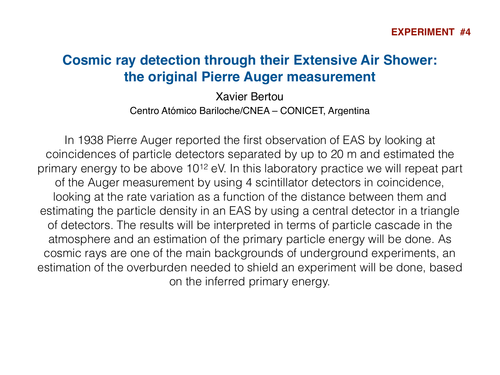## **Cosmic ray detection through their Extensive Air Shower: the original Pierre Auger measurement**

Xavier Bertou Centro Atómico Bariloche/CNEA – CONICET, Argentina

In 1938 Pierre Auger reported the first observation of EAS by looking at coincidences of particle detectors separated by up to 20 m and estimated the primary energy to be above 1012 eV. In this laboratory practice we will repeat part of the Auger measurement by using 4 scintillator detectors in coincidence, looking at the rate variation as a function of the distance between them and estimating the particle density in an EAS by using a central detector in a triangle of detectors. The results will be interpreted in terms of particle cascade in the atmosphere and an estimation of the primary particle energy will be done. As cosmic rays are one of the main backgrounds of underground experiments, an estimation of the overburden needed to shield an experiment will be done, based on the inferred primary energy.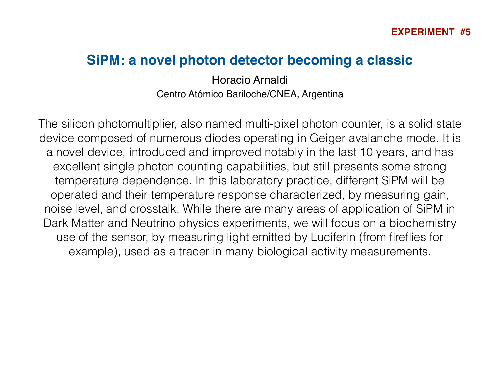#### **SiPM: a novel photon detector becoming a classic**

Horacio Arnaldi Centro Atómico Bariloche/CNEA, Argentina

The silicon photomultiplier, also named multi-pixel photon counter, is a solid state device composed of numerous diodes operating in Geiger avalanche mode. It is a novel device, introduced and improved notably in the last 10 years, and has excellent single photon counting capabilities, but still presents some strong temperature dependence. In this laboratory practice, different SiPM will be operated and their temperature response characterized, by measuring gain, noise level, and crosstalk. While there are many areas of application of SiPM in Dark Matter and Neutrino physics experiments, we will focus on a biochemistry use of the sensor, by measuring light emitted by Luciferin (from fireflies for example), used as a tracer in many biological activity measurements.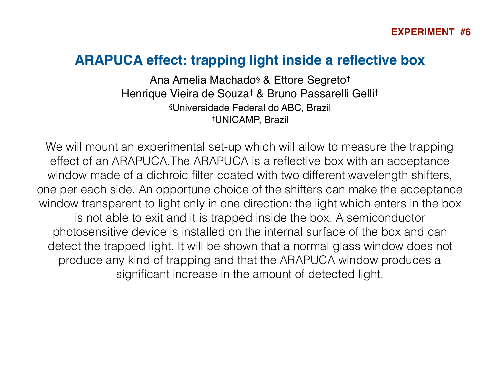**EXPERIMENT #6**

#### **ARAPUCA effect: trapping light inside a reflective box**

Ana Amelia Machado§ & Ettore Segreto† Henrique Vieira de Souza† & Bruno Passarelli Gelli† §Universidade Federal do ABC, Brazil †UNICAMP, Brazil

We will mount an experimental set-up which will allow to measure the trapping effect of an ARAPUCA.The ARAPUCA is a reflective box with an acceptance window made of a dichroic filter coated with two different wavelength shifters, one per each side. An opportune choice of the shifters can make the acceptance window transparent to light only in one direction: the light which enters in the box is not able to exit and it is trapped inside the box. A semiconductor photosensitive device is installed on the internal surface of the box and can detect the trapped light. It will be shown that a normal glass window does not produce any kind of trapping and that the ARAPUCA window produces a significant increase in the amount of detected light.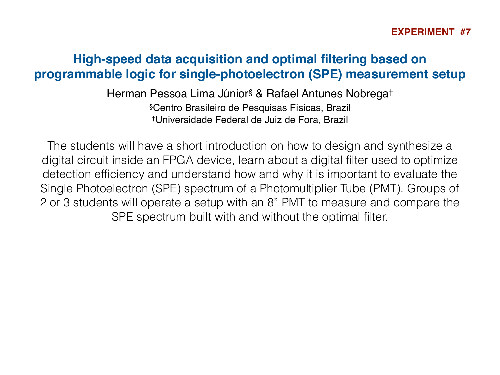### **High-speed data acquisition and optimal filtering based on programmable logic for single-photoelectron (SPE) measurement setup**

Herman Pessoa Lima Júnior§ & Rafael Antunes Nobrega† §Centro Brasileiro de Pesquisas Físicas, Brazil †Universidade Federal de Juiz de Fora, Brazil

The students will have a short introduction on how to design and synthesize a digital circuit inside an FPGA device, learn about a digital filter used to optimize detection efficiency and understand how and why it is important to evaluate the Single Photoelectron (SPE) spectrum of a Photomultiplier Tube (PMT). Groups of 2 or 3 students will operate a setup with an 8" PMT to measure and compare the SPE spectrum built with and without the optimal filter.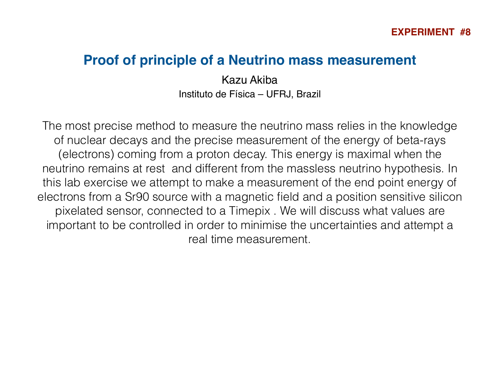#### **Proof of principle of a Neutrino mass measurement**

Kazu Akiba Instituto de Física – UFRJ, Brazil

The most precise method to measure the neutrino mass relies in the knowledge of nuclear decays and the precise measurement of the energy of beta-rays (electrons) coming from a proton decay. This energy is maximal when the neutrino remains at rest and different from the massless neutrino hypothesis. In this lab exercise we attempt to make a measurement of the end point energy of electrons from a Sr90 source with a magnetic field and a position sensitive silicon pixelated sensor, connected to a Timepix . We will discuss what values are important to be controlled in order to minimise the uncertainties and attempt a real time measurement.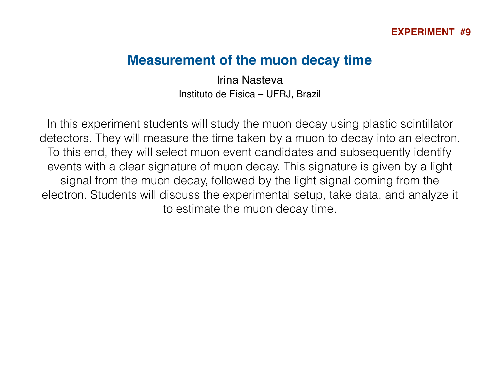#### **EXPERIMENT #9**

#### **Measurement of the muon decay time**

Irina Nasteva Instituto de Física – UFRJ, Brazil

In this experiment students will study the muon decay using plastic scintillator detectors. They will measure the time taken by a muon to decay into an electron. To this end, they will select muon event candidates and subsequently identify events with a clear signature of muon decay. This signature is given by a light signal from the muon decay, followed by the light signal coming from the electron. Students will discuss the experimental setup, take data, and analyze it to estimate the muon decay time.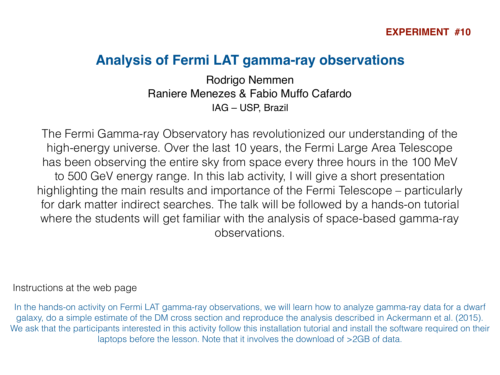### **Analysis of Fermi LAT gamma-ray observations**

Rodrigo Nemmen Raniere Menezes & Fabio Muffo Cafardo IAG – USP, Brazil

The Fermi Gamma-ray Observatory has revolutionized our understanding of the high-energy universe. Over the last 10 years, the Fermi Large Area Telescope has been observing the entire sky from space every three hours in the 100 MeV to 500 GeV energy range. In this lab activity, I will give a short presentation highlighting the main results and importance of the Fermi Telescope – particularly for dark matter indirect searches. The talk will be followed by a hands-on tutorial where the students will get familiar with the analysis of space-based gamma-ray observations.

Instructions at the web page

In the hands-on activity on Fermi LAT gamma-ray observations, we will learn how to analyze gamma-ray data for a dwarf galaxy, do a simple estimate of the DM cross section and reproduce the analysis described in Ackermann et al. (2015). We ask that the participants interested in this activity follow this installation tutorial and install the software required on their laptops before the lesson. Note that it involves the download of >2GB of data.